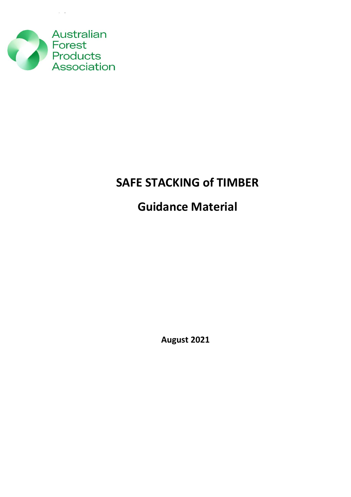

 $\sim$ 

## **SAFE STACKING of TIMBER**

# **Guidance Material**

**August 2021**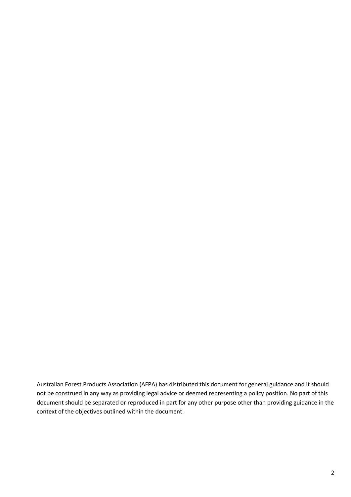Australian Forest Products Association (AFPA) has distributed this document for general guidance and it should not be construed in any way as providing legal advice or deemed representing a policy position. No part of this document should be separated or reproduced in part for any other purpose other than providing guidance in the context of the objectives outlined within the document.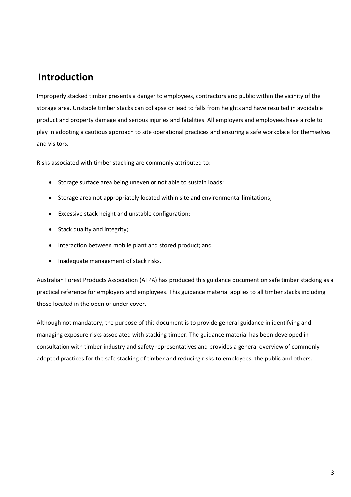### **Introduction**

Improperly stacked timber presents a danger to employees, contractors and public within the vicinity of the storage area. Unstable timber stacks can collapse or lead to falls from heights and have resulted in avoidable product and property damage and serious injuries and fatalities. All employers and employees have a role to play in adopting a cautious approach to site operational practices and ensuring a safe workplace for themselves and visitors.

Risks associated with timber stacking are commonly attributed to:

- Storage surface area being uneven or not able to sustain loads;
- Storage area not appropriately located within site and environmental limitations;
- Excessive stack height and unstable configuration;
- Stack quality and integrity;
- Interaction between mobile plant and stored product; and
- Inadequate management of stack risks.

Australian Forest Products Association (AFPA) has produced this guidance document on safe timber stacking as a practical reference for employers and employees. This guidance material applies to all timber stacks including those located in the open or under cover.

Although not mandatory, the purpose of this document is to provide general guidance in identifying and managing exposure risks associated with stacking timber. The guidance material has been developed in consultation with timber industry and safety representatives and provides a general overview of commonly adopted practices for the safe stacking of timber and reducing risks to employees, the public and others.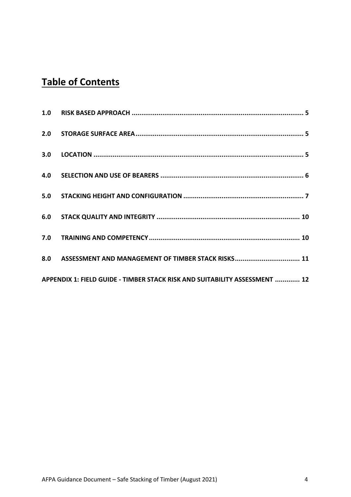## **Table of Contents**

| APPENDIX 1: FIELD GUIDE - TIMBER STACK RISK AND SUITABILITY ASSESSMENT  12 |  |
|----------------------------------------------------------------------------|--|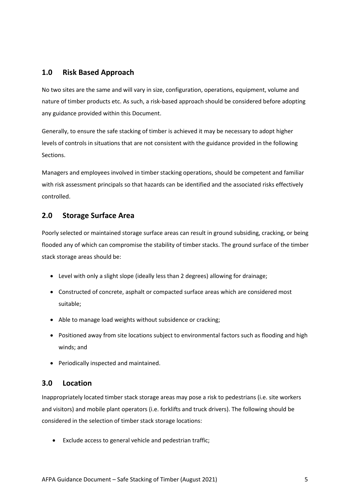#### <span id="page-4-0"></span>**1.0 Risk Based Approach**

No two sites are the same and will vary in size, configuration, operations, equipment, volume and nature of timber products etc. As such, a risk-based approach should be considered before adopting any guidance provided within this Document.

Generally, to ensure the safe stacking of timber is achieved it may be necessary to adopt higher levels of controls in situations that are not consistent with the guidance provided in the following Sections.

Managers and employees involved in timber stacking operations, should be competent and familiar with risk assessment principals so that hazards can be identified and the associated risks effectively controlled.

#### <span id="page-4-1"></span>**2.0 Storage Surface Area**

Poorly selected or maintained storage surface areas can result in ground subsiding, cracking, or being flooded any of which can compromise the stability of timber stacks. The ground surface of the timber stack storage areas should be:

- Level with only a slight slope (ideally less than 2 degrees) allowing for drainage;
- Constructed of concrete, asphalt or compacted surface areas which are considered most suitable;
- Able to manage load weights without subsidence or cracking;
- Positioned away from site locations subject to environmental factors such as flooding and high winds; and
- Periodically inspected and maintained.

#### <span id="page-4-2"></span>**3.0 Location**

Inappropriately located timber stack storage areas may pose a risk to pedestrians (i.e. site workers and visitors) and mobile plant operators (i.e. forklifts and truck drivers). The following should be considered in the selection of timber stack storage locations:

• Exclude access to general vehicle and pedestrian traffic;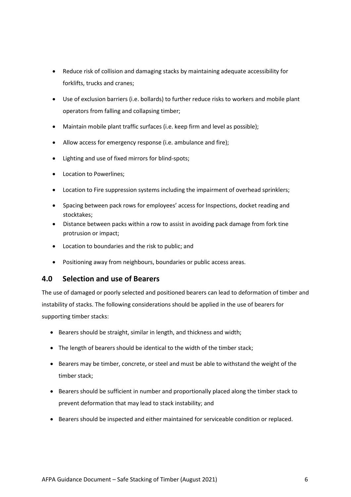- Reduce risk of collision and damaging stacks by maintaining adequate accessibility for forklifts, trucks and cranes;
- Use of exclusion barriers (i.e. bollards) to further reduce risks to workers and mobile plant operators from falling and collapsing timber;
- Maintain mobile plant traffic surfaces (i.e. keep firm and level as possible);
- Allow access for emergency response (i.e. ambulance and fire);
- Lighting and use of fixed mirrors for blind-spots;
- Location to Powerlines;
- Location to Fire suppression systems including the impairment of overhead sprinklers;
- Spacing between pack rows for employees' access for Inspections, docket reading and stocktakes;
- Distance between packs within a row to assist in avoiding pack damage from fork tine protrusion or impact;
- Location to boundaries and the risk to public; and
- Positioning away from neighbours, boundaries or public access areas.

#### <span id="page-5-0"></span>**4.0 Selection and use of Bearers**

The use of damaged or poorly selected and positioned bearers can lead to deformation of timber and instability of stacks. The following considerations should be applied in the use of bearers for supporting timber stacks:

- Bearers should be straight, similar in length, and thickness and width;
- The length of bearers should be identical to the width of the timber stack;
- Bearers may be timber, concrete, or steel and must be able to withstand the weight of the timber stack;
- Bearers should be sufficient in number and proportionally placed along the timber stack to prevent deformation that may lead to stack instability; and
- Bearers should be inspected and either maintained for serviceable condition or replaced.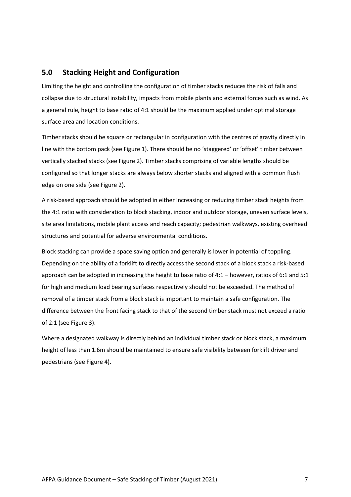#### <span id="page-6-0"></span>**5.0 Stacking Height and Configuration**

Limiting the height and controlling the configuration of timber stacks reduces the risk of falls and collapse due to structural instability, impacts from mobile plants and external forces such as wind. As a general rule, height to base ratio of 4:1 should be the maximum applied under optimal storage surface area and location conditions.

Timber stacks should be square or rectangular in configuration with the centres of gravity directly in line with the bottom pack (see Figure 1). There should be no 'staggered' or 'offset' timber between vertically stacked stacks (see Figure 2). Timber stacks comprising of variable lengths should be configured so that longer stacks are always below shorter stacks and aligned with a common flush edge on one side (see Figure 2).

A risk-based approach should be adopted in either increasing or reducing timber stack heights from the 4:1 ratio with consideration to block stacking, indoor and outdoor storage, uneven surface levels, site area limitations, mobile plant access and reach capacity; pedestrian walkways, existing overhead structures and potential for adverse environmental conditions.

Block stacking can provide a space saving option and generally is lower in potential of toppling. Depending on the ability of a forklift to directly access the second stack of a block stack a risk-based approach can be adopted in increasing the height to base ratio of 4:1 – however, ratios of 6:1 and 5:1 for high and medium load bearing surfaces respectively should not be exceeded. The method of removal of a timber stack from a block stack is important to maintain a safe configuration. The difference between the front facing stack to that of the second timber stack must not exceed a ratio of 2:1 (see Figure 3).

Where a designated walkway is directly behind an individual timber stack or block stack, a maximum height of less than 1.6m should be maintained to ensure safe visibility between forklift driver and pedestrians (see Figure 4).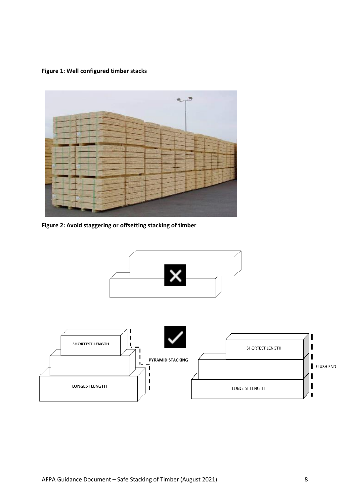**Figure 1: Well configured timber stacks**



**Figure 2: Avoid staggering or offsetting stacking of timber**

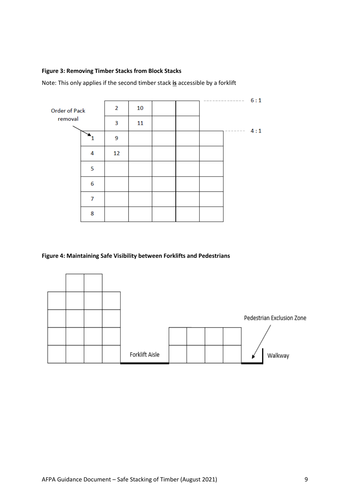#### **Figure 3: Removing Timber Stacks from Block Stacks**

Note: This only applies if the second timber stack **is** accessible by a forklift

|               |                |    |    |  | -------                              | 6:1 |
|---------------|----------------|----|----|--|--------------------------------------|-----|
| Order of Pack |                | 2  | 10 |  |                                      |     |
| removal       |                | 3  | 11 |  | $\cdots \cdots \cdots \cdots \cdots$ | 4:1 |
|               |                | 9  |    |  |                                      |     |
|               | 4              | 12 |    |  |                                      |     |
|               | 5              |    |    |  |                                      |     |
|               | 6              |    |    |  |                                      |     |
|               | $\overline{7}$ |    |    |  |                                      |     |
|               | 8              |    |    |  |                                      |     |

#### **Figure 4: Maintaining Safe Visibility between Forklifts and Pedestrians**

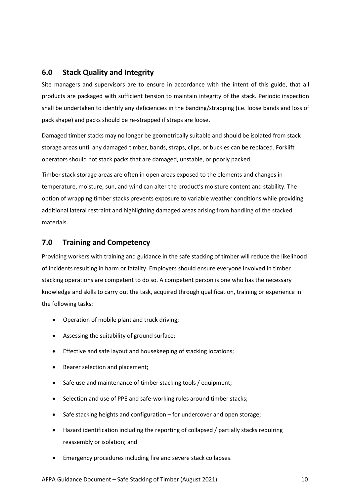#### <span id="page-9-0"></span>**6.0 Stack Quality and Integrity**

Site managers and supervisors are to ensure in accordance with the intent of this guide, that all products are packaged with sufficient tension to maintain integrity of the stack. Periodic inspection shall be undertaken to identify any deficiencies in the banding/strapping (i.e. loose bands and loss of pack shape) and packs should be re-strapped if straps are loose.

Damaged timber stacks may no longer be geometrically suitable and should be isolated from stack storage areas until any damaged timber, bands, straps, clips, or buckles can be replaced. Forklift operators should not stack packs that are damaged, unstable, or poorly packed.

Timber stack storage areas are often in open areas exposed to the elements and changes in temperature, moisture, sun, and wind can alter the product's moisture content and stability. The option of wrapping timber stacks prevents exposure to variable weather conditions while providing additional lateral restraint and highlighting damaged areas arising from handling of the stacked materials.

#### <span id="page-9-1"></span>**7.0 Training and Competency**

Providing workers with training and guidance in the safe stacking of timber will reduce the likelihood of incidents resulting in harm or fatality. Employers should ensure everyone involved in timber stacking operations are competent to do so. A competent person is one who has the necessary knowledge and skills to carry out the task, acquired through qualification, training or experience in the following tasks:

- Operation of mobile plant and truck driving;
- Assessing the suitability of ground surface;
- Effective and safe layout and housekeeping of stacking locations;
- Bearer selection and placement;
- Safe use and maintenance of timber stacking tools / equipment;
- Selection and use of PPE and safe-working rules around timber stacks;
- Safe stacking heights and configuration for undercover and open storage;
- Hazard identification including the reporting of collapsed / partially stacks requiring reassembly or isolation; and
- Emergency procedures including fire and severe stack collapses.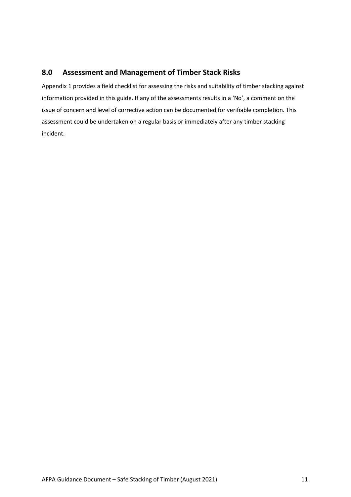#### <span id="page-10-0"></span>**8.0 Assessment and Management of Timber Stack Risks**

Appendix 1 provides a field checklist for assessing the risks and suitability of timber stacking against information provided in this guide. If any of the assessments results in a 'No', a comment on the issue of concern and level of corrective action can be documented for verifiable completion. This assessment could be undertaken on a regular basis or immediately after any timber stacking incident.